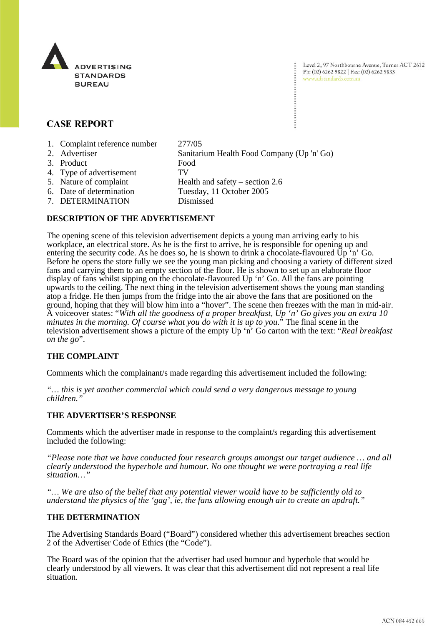

Level 2, 97 Northbourne Avenue, Turner ACT 2612 Ph: (02) 6262 9822 | Fax: (02) 6262 9833 www.adstandards.com.au

# **CASE REPORT**

- 1. Complaint reference number 277/05
- 2. Advertiser Sanitarium Health Food Company (Up 'n' Go) 3. Product Food 4. Type of advertisement TV 5. Nature of complaint Health and safety – section 2.6<br>6. Date of determination Tuesday, 11 October 2005 Tuesday, 11 October 2005
	- 7. DETERMINATION Dismissed

# **DESCRIPTION OF THE ADVERTISEMENT**

The opening scene of this television advertisement depicts a young man arriving early to his workplace, an electrical store. As he is the first to arrive, he is responsible for opening up and entering the security code. As he does so, he is shown to drink a chocolate-flavoured Up 'n' Go. Before he opens the store fully we see the young man picking and choosing a variety of different sized fans and carrying them to an empty section of the floor. He is shown to set up an elaborate floor display of fans whilst sipping on the chocolate-flavoured Up 'n' Go. All the fans are pointing upwards to the ceiling. The next thing in the television advertisement shows the young man standing atop a fridge. He then jumps from the fridge into the air above the fans that are positioned on the ground, hoping that they will blow him into a "hover". The scene then freezes with the man in mid-air. A voiceover states: "*With all the goodness of a proper breakfast, Up 'n' Go gives you an extra 10 minutes in the morning. Of course what you do with it is up to you.*" The final scene in the television advertisement shows a picture of the empty Up 'n' Go carton with the text: "*Real breakfast on the go*".

# **THE COMPLAINT**

Comments which the complainant/s made regarding this advertisement included the following:

*"… this is yet another commercial which could send a very dangerous message to young children."*

### **THE ADVERTISER'S RESPONSE**

Comments which the advertiser made in response to the complaint/s regarding this advertisement included the following:

*"Please note that we have conducted four research groups amongst our target audience … and all clearly understood the hyperbole and humour. No one thought we were portraying a real life situation…"*

*"… We are also of the belief that any potential viewer would have to be sufficiently old to understand the physics of the 'gag', ie, the fans allowing enough air to create an updraft."*

### **THE DETERMINATION**

The Advertising Standards Board ("Board") considered whether this advertisement breaches section 2 of the Advertiser Code of Ethics (the "Code").

The Board was of the opinion that the advertiser had used humour and hyperbole that would be clearly understood by all viewers. It was clear that this advertisement did not represent a real life situation.